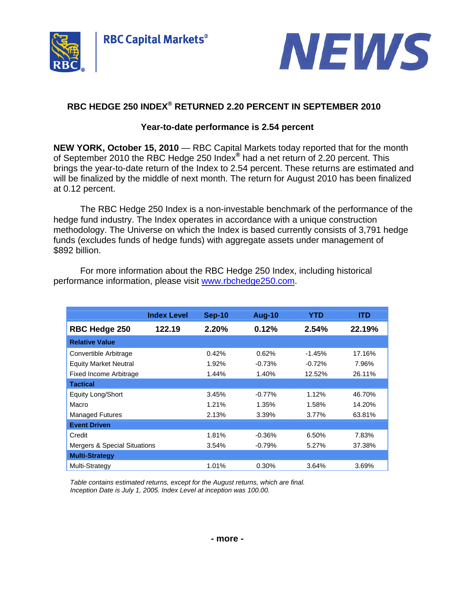



# **RBC HEDGE 250 INDEX® RETURNED 2.20 PERCENT IN SEPTEMBER 2010**

## **Year-to-date performance is 2.54 percent**

**NEW YORK, October 15, 2010** — RBC Capital Markets today reported that for the month of September 2010 the RBC Hedge 250 Index**®** had a net return of 2.20 percent. This brings the year-to-date return of the Index to 2.54 percent. These returns are estimated and will be finalized by the middle of next month. The return for August 2010 has been finalized at 0.12 percent.

The RBC Hedge 250 Index is a non-investable benchmark of the performance of the hedge fund industry. The Index operates in accordance with a unique construction methodology. The Universe on which the Index is based currently consists of 3,791 hedge funds (excludes funds of hedge funds) with aggregate assets under management of \$892 billion.

|                                         | <b>Index Level</b> | <b>Sep-10</b> | <b>Aug-10</b> | YTD      | <b>ITD</b> |
|-----------------------------------------|--------------------|---------------|---------------|----------|------------|
| <b>RBC Hedge 250</b>                    | 122.19             | 2.20%         | 0.12%         | 2.54%    | 22.19%     |
| <b>Relative Value</b>                   |                    |               |               |          |            |
| Convertible Arbitrage                   |                    | 0.42%         | 0.62%         | $-1.45%$ | 17.16%     |
| <b>Equity Market Neutral</b>            |                    | 1.92%         | $-0.73%$      | $-0.72%$ | 7.96%      |
| <b>Fixed Income Arbitrage</b>           |                    | 1.44%         | 1.40%         | 12.52%   | 26.11%     |
| <b>Tactical</b>                         |                    |               |               |          |            |
| <b>Equity Long/Short</b>                |                    | 3.45%         | $-0.77%$      | 1.12%    | 46.70%     |
| Macro                                   |                    | 1.21%         | 1.35%         | 1.58%    | 14.20%     |
| <b>Managed Futures</b>                  |                    | 2.13%         | 3.39%         | 3.77%    | 63.81%     |
| <b>Event Driven</b>                     |                    |               |               |          |            |
| Credit                                  |                    | 1.81%         | $-0.36%$      | 6.50%    | 7.83%      |
| <b>Mergers &amp; Special Situations</b> |                    | 3.54%         | $-0.79%$      | 5.27%    | 37.38%     |
| <b>Multi-Strategy</b>                   |                    |               |               |          |            |
| Multi-Strategy                          |                    | 1.01%         | 0.30%         | 3.64%    | 3.69%      |

For more information about the RBC Hedge 250 Index, including historical performance information, please visit www.rbchedge250.com.

*Table contains estimated returns, except for the August returns, which are final. Inception Date is July 1, 2005. Index Level at inception was 100.00.*